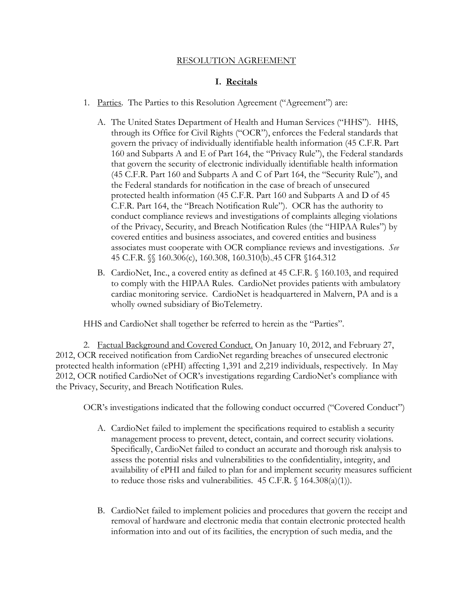## RESOLUTION AGREEMENT

# **I. Recitals**

- 1. Parties. The Parties to this Resolution Agreement ("Agreement") are:
	- A. The United States Department of Health and Human Services ("HHS"). HHS, through its Office for Civil Rights ("OCR"), enforces the Federal standards that govern the privacy of individually identifiable health information (45 C.F.R. Part 160 and Subparts A and E of Part 164, the "Privacy Rule"), the Federal standards that govern the security of electronic individually identifiable health information (45 C.F.R. Part 160 and Subparts A and C of Part 164, the "Security Rule"), and the Federal standards for notification in the case of breach of unsecured protected health information (45 C.F.R. Part 160 and Subparts A and D of 45 C.F.R. Part 164, the "Breach Notification Rule"). OCR has the authority to conduct compliance reviews and investigations of complaints alleging violations of the Privacy, Security, and Breach Notification Rules (the "HIPAA Rules") by covered entities and business associates, and covered entities and business associates must cooperate with OCR compliance reviews and investigations. *See*  45 C.F.R. §§ 160.306(c), 160.308, 160.310(b).,45 CFR §164.312
	- B. CardioNet, Inc., a covered entity as defined at 45 C.F.R. § 160.103, and required wholly owned subsidiary of BioTelemetry. to comply with the HIPAA Rules. CardioNet provides patients with ambulatory cardiac monitoring service. CardioNet is headquartered in Malvern, PA and is a

HHS and CardioNet shall together be referred to herein as the "Parties".

 protected health information (ePHI) affecting 1,391 and 2,219 individuals, respectively. In May the Privacy, Security, and Breach Notification Rules. 2. Factual Background and Covered Conduct. On January 10, 2012, and February 27, 2012, OCR received notification from CardioNet regarding breaches of unsecured electronic 2012, OCR notified CardioNet of OCR's investigations regarding CardioNet's compliance with

OCR's investigations indicated that the following conduct occurred ("Covered Conduct")

- management process to prevent, detect, contain, and correct security violations. Specifically, CardioNet failed to conduct an accurate and thorough risk analysis to availability of ePHI and failed to plan for and implement security measures sufficient to reduce those risks and vulnerabilities.  $45$  C.F.R.  $\int$  164.308(a)(1)). A. CardioNet failed to implement the specifications required to establish a security assess the potential risks and vulnerabilities to the confidentiality, integrity, and
- information into and out of its facilities, the encryption of such media, and the B. CardioNet failed to implement policies and procedures that govern the receipt and removal of hardware and electronic media that contain electronic protected health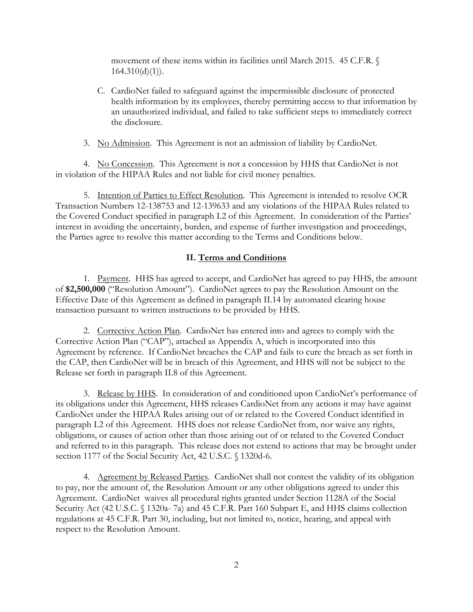movement of these items within its facilities until March 2015. 45 C.F.R. §  $164.310(d)(1)$ ).

 C. CardioNet failed to safeguard against the impermissible disclosure of protected health information by its employees, thereby permitting access to that information by an unauthorized individual, and failed to take sufficient steps to immediately correct the disclosure.

3. No Admission. This Agreement is not an admission of liability by CardioNet.

4. No Concession. This Agreement is not a concession by HHS that CardioNet is not in violation of the HIPAA Rules and not liable for civil money penalties.

 interest in avoiding the uncertainty, burden, and expense of further investigation and proceedings, 5. Intention of Parties to Effect Resolution. This Agreement is intended to resolve OCR Transaction Numbers 12-138753 and 12-139633 and any violations of the HIPAA Rules related to the Covered Conduct specified in paragraph I.2 of this Agreement. In consideration of the Parties' the Parties agree to resolve this matter according to the Terms and Conditions below.

# **II. Terms and Conditions**

1. Payment. HHS has agreed to accept, and CardioNet has agreed to pay HHS, the amount of **\$2,500,000** ("Resolution Amount"). CardioNet agrees to pay the Resolution Amount on the Effective Date of this Agreement as defined in paragraph II.14 by automated clearing house transaction pursuant to written instructions to be provided by HHS.

2. Corrective Action Plan. CardioNet has entered into and agrees to comply with the Agreement by reference. If CardioNet breaches the CAP and fails to cure the breach as set forth in Corrective Action Plan ("CAP"), attached as Appendix A, which is incorporated into this the CAP, then CardioNet will be in breach of this Agreement, and HHS will not be subject to the Release set forth in paragraph II.8 of this Agreement.

 paragraph I.2 of this Agreement. HHS does not release CardioNet from, nor waive any rights, 3. Release by HHS. In consideration of and conditioned upon CardioNet's performance of its obligations under this Agreement, HHS releases CardioNet from any actions it may have against CardioNet under the HIPAA Rules arising out of or related to the Covered Conduct identified in obligations, or causes of action other than those arising out of or related to the Covered Conduct and referred to in this paragraph. This release does not extend to actions that may be brought under section 1177 of the Social Security Act, 42 U.S.C. § 1320d-6.

 Agreement. CardioNet waives all procedural rights granted under Section 1128A of the Social regulations at 45 C.F.R. Part 30, including, but not limited to, notice, hearing, and appeal with 4. Agreement by Released Parties. CardioNet shall not contest the validity of its obligation to pay, nor the amount of, the Resolution Amount or any other obligations agreed to under this Security Act (42 U.S.C. § 1320a- 7a) and 45 C.F.R. Part 160 Subpart E, and HHS claims collection respect to the Resolution Amount.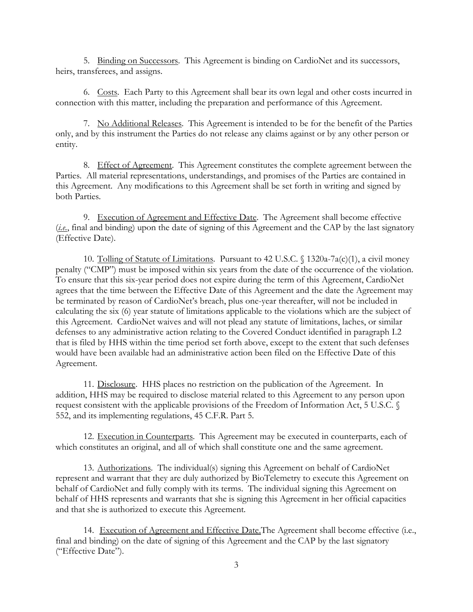5. Binding on Successors. This Agreement is binding on CardioNet and its successors, heirs, transferees, and assigns.

6. Costs. Each Party to this Agreement shall bear its own legal and other costs incurred in connection with this matter, including the preparation and performance of this Agreement.

7. No Additional Releases. This Agreement is intended to be for the benefit of the Parties only, and by this instrument the Parties do not release any claims against or by any other person or entity.

8. Effect of Agreement. This Agreement constitutes the complete agreement between the Parties. All material representations, understandings, and promises of the Parties are contained in this Agreement. Any modifications to this Agreement shall be set forth in writing and signed by both Parties.

9. Execution of Agreement and Effective Date. The Agreement shall become effective (*i.e.*, final and binding) upon the date of signing of this Agreement and the CAP by the last signatory (Effective Date).

penalty ("CMP") must be imposed within six years from the date of the occurrence of the violation. this Agreement. CardioNet waives and will not plead any statute of limitations, laches, or similar 10. Tolling of Statute of Limitations. Pursuant to 42 U.S.C. § 1320a-7a(c)(1), a civil money To ensure that this six-year period does not expire during the term of this Agreement, CardioNet agrees that the time between the Effective Date of this Agreement and the date the Agreement may be terminated by reason of CardioNet's breach, plus one-year thereafter, will not be included in calculating the six (6) year statute of limitations applicable to the violations which are the subject of defenses to any administrative action relating to the Covered Conduct identified in paragraph I.2 that is filed by HHS within the time period set forth above, except to the extent that such defenses would have been available had an administrative action been filed on the Effective Date of this Agreement.

11. Disclosure. HHS places no restriction on the publication of the Agreement. In addition, HHS may be required to disclose material related to this Agreement to any person upon request consistent with the applicable provisions of the Freedom of Information Act, 5 U.S.C. § 552, and its implementing regulations, 45 C.F.R. Part 5.

which constitutes an original, and all of which shall constitute one and the same agreement.<br>13. Authorizations. The individual(s) signing this Agreement on behalf of CardioNet 12. Execution in Counterparts. This Agreement may be executed in counterparts, each of

 behalf of HHS represents and warrants that she is signing this Agreement in her official capacities represent and warrant that they are duly authorized by BioTelemetry to execute this Agreement on behalf of CardioNet and fully comply with its terms. The individual signing this Agreement on and that she is authorized to execute this Agreement.

14. Execution of Agreement and Effective Date. The Agreement shall become effective (i.e., final and binding) on the date of signing of this Agreement and the CAP by the last signatory ("Effective Date").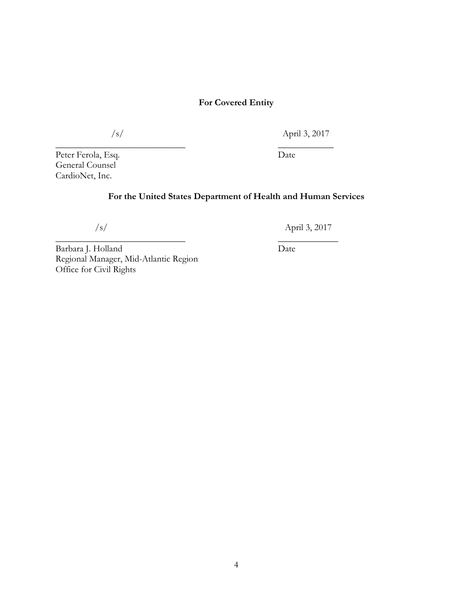# **For Covered Entity**

 $\overline{\phantom{a}}$  , where  $\overline{\phantom{a}}$  , where  $\overline{\phantom{a}}$  ,  $\overline{\phantom{a}}$  ,  $\overline{\phantom{a}}$  ,  $\overline{\phantom{a}}$  ,  $\overline{\phantom{a}}$  ,  $\overline{\phantom{a}}$  ,  $\overline{\phantom{a}}$  ,  $\overline{\phantom{a}}$  ,  $\overline{\phantom{a}}$  ,  $\overline{\phantom{a}}$  ,  $\overline{\phantom{a}}$  ,  $\overline{\phantom{a}}$  ,  $\overline{\phantom{a}}$  ,

 $\overline{\phantom{a}}$  , where  $\overline{\phantom{a}}$  , where  $\overline{\phantom{a}}$  ,  $\overline{\phantom{a}}$  ,  $\overline{\phantom{a}}$  ,  $\overline{\phantom{a}}$  ,  $\overline{\phantom{a}}$  ,  $\overline{\phantom{a}}$  ,  $\overline{\phantom{a}}$  ,  $\overline{\phantom{a}}$  ,  $\overline{\phantom{a}}$  ,  $\overline{\phantom{a}}$  ,  $\overline{\phantom{a}}$  ,  $\overline{\phantom{a}}$  ,  $\overline{\phantom{a}}$  ,

/s/

April 3, 2017

Peter Ferola, Esq. General Counsel CardioNet, Inc.

Date

# **For the United States Department of Health and Human Services**

/s/

April 3, 2017

Date

Barbara J. Holland Regional Manager, Mid-Atlantic Region Office for Civil Rights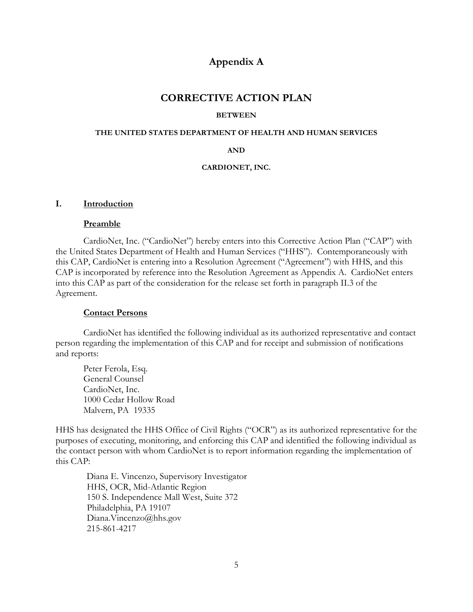# **Appendix A**

# **CORRECTIVE ACTION PLAN**

#### **BETWEEN**

#### **THE UNITED STATES DEPARTMENT OF HEALTH AND HUMAN SERVICES**

#### **AND**

#### **CARDIONET, INC.**

#### **I. Introduction**

#### **Preamble**

CardioNet, Inc. ("CardioNet") hereby enters into this Corrective Action Plan ("CAP") with the United States Department of Health and Human Services ("HHS"). Contemporaneously with this CAP, CardioNet is entering into a Resolution Agreement ("Agreement") with HHS, and this CAP is incorporated by reference into the Resolution Agreement as Appendix A. CardioNet enters into this CAP as part of the consideration for the release set forth in paragraph II.3 of the Agreement.

#### **Contact Persons**

CardioNet has identified the following individual as its authorized representative and contact person regarding the implementation of this CAP and for receipt and submission of notifications and reports:

Peter Ferola, Esq. General Counsel CardioNet, Inc. 1000 Cedar Hollow Road Malvern, PA 19335

HHS has designated the HHS Office of Civil Rights ("OCR") as its authorized representative for the purposes of executing, monitoring, and enforcing this CAP and identified the following individual as the contact person with whom CardioNet is to report information regarding the implementation of this CAP:

Diana E. Vincenzo, Supervisory Investigator HHS, OCR, Mid-Atlantic Region 150 S. Independence Mall West, Suite 372 Philadelphia, PA 19107 Diana.Vincenzo@hhs.gov 215-861-4217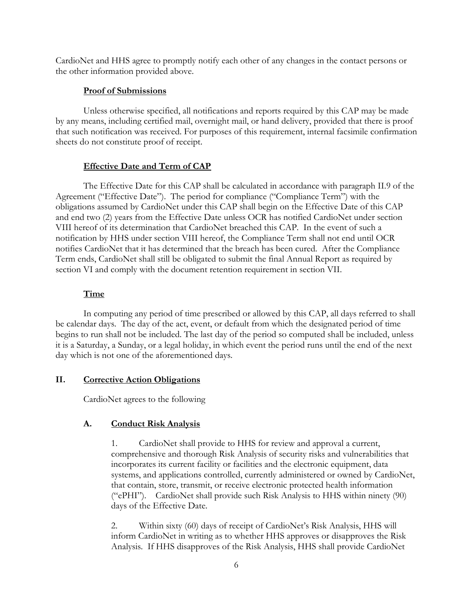CardioNet and HHS agree to promptly notify each other of any changes in the contact persons or the other information provided above.

## **Proof of Submissions**

Unless otherwise specified, all notifications and reports required by this CAP may be made by any means, including certified mail, overnight mail, or hand delivery, provided that there is proof that such notification was received. For purposes of this requirement, internal facsimile confirmation sheets do not constitute proof of receipt.

# **Effective Date and Term of CAP**

 Agreement ("Effective Date"). The period for compliance ("Compliance Term") with the section VI and comply with the document retention requirement in section VII. The Effective Date for this CAP shall be calculated in accordance with paragraph II.9 of the obligations assumed by CardioNet under this CAP shall begin on the Effective Date of this CAP and end two (2) years from the Effective Date unless OCR has notified CardioNet under section VIII hereof of its determination that CardioNet breached this CAP. In the event of such a notification by HHS under section VIII hereof, the Compliance Term shall not end until OCR notifies CardioNet that it has determined that the breach has been cured. After the Compliance Term ends, CardioNet shall still be obligated to submit the final Annual Report as required by

## **Time**

In computing any period of time prescribed or allowed by this CAP, all days referred to shall be calendar days. The day of the act, event, or default from which the designated period of time begins to run shall not be included. The last day of the period so computed shall be included, unless it is a Saturday, a Sunday, or a legal holiday, in which event the period runs until the end of the next day which is not one of the aforementioned days.

### **II. Corrective Action Obligations**

CardioNet agrees to the following

# **A. Conduct Risk Analysis**

 ("ePHI"). CardioNet shall provide such Risk Analysis to HHS within ninety (90) 1. CardioNet shall provide to HHS for review and approval a current, comprehensive and thorough Risk Analysis of security risks and vulnerabilities that incorporates its current facility or facilities and the electronic equipment, data systems, and applications controlled, currently administered or owned by CardioNet, that contain, store, transmit, or receive electronic protected health information days of the Effective Date.

2. Within sixty (60) days of receipt of CardioNet's Risk Analysis, HHS will inform CardioNet in writing as to whether HHS approves or disapproves the Risk Analysis. If HHS disapproves of the Risk Analysis, HHS shall provide CardioNet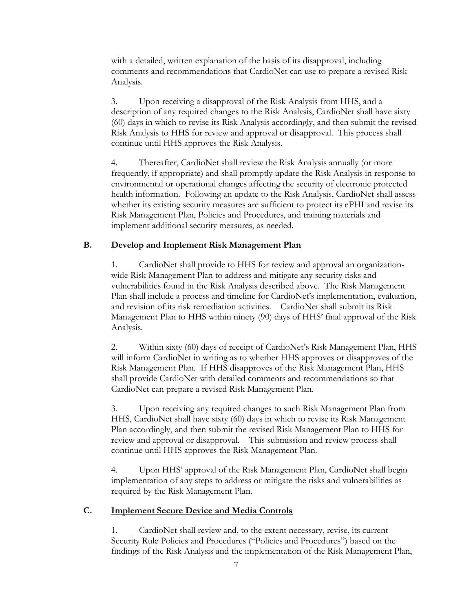with a detailed, written explanation of the basis of its disapproval, including comments and recommendations that CardioNet can use to prepare a revised Risk Analysis.

3. Upon receiving a disapproval of the Risk Analysis from HHS, and a description of any required changes to the Risk Analysis, CardioNet shall have sixty (60) days in which to revise its Risk Analysis accordingly, and then submit the revised Risk Analysis to HHS for review and approval or disapproval. This process shall continue until HHS approves the Risk Analysis.

4. Thereafter, CardioNet shall review the Risk Analysis annually (or more frequently, if appropriate) and shall promptly update the Risk Analysis in response to environmental or operational changes affecting the security of electronic protected health information. Following an update to the Risk Analysis, CardioNet shall assess whether its existing security measures are sufficient to protect its ePHI and revise its Risk Management Plan, Policies and Procedures, and training materials and implement additional security measures, as needed.

### **B. Develop and Implement Risk Management Plan**

1. CardioNet shall provide to HHS for review and approval an organizationwide Risk Management Plan to address and mitigate any security risks and vulnerabilities found in the Risk Analysis described above. The Risk Management Plan shall include a process and timeline for CardioNet's implementation, evaluation, and revision of its risk remediation activities. CardioNet shall submit its Risk Management Plan to HHS within ninety (90) days of HHS' final approval of the Risk Analysis.

 CardioNet can prepare a revised Risk Management Plan. 2. Within sixty (60) days of receipt of CardioNet's Risk Management Plan, HHS will inform CardioNet in writing as to whether HHS approves or disapproves of the Risk Management Plan. If HHS disapproves of the Risk Management Plan, HHS shall provide CardioNet with detailed comments and recommendations so that

continue until HHS approves the Risk Management Plan. 3. Upon receiving any required changes to such Risk Management Plan from HHS, CardioNet shall have sixty (60) days in which to revise its Risk Management Plan accordingly, and then submit the revised Risk Management Plan to HHS for review and approval or disapproval. This submission and review process shall

4. Upon HHS' approval of the Risk Management Plan, CardioNet shall begin implementation of any steps to address or mitigate the risks and vulnerabilities as required by the Risk Management Plan.

### **C. Implement Secure Device and Media Controls**

1. CardioNet shall review and, to the extent necessary, revise, its current Security Rule Policies and Procedures ("Policies and Procedures") based on the findings of the Risk Analysis and the implementation of the Risk Management Plan,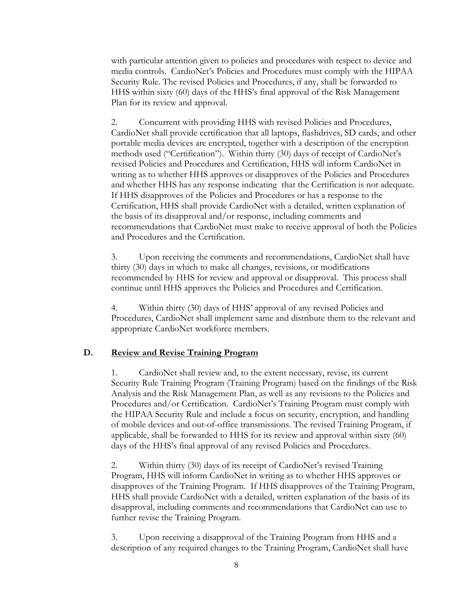with particular attention given to policies and procedures with respect to device and media controls. CardioNet's Policies and Procedures must comply with the HIPAA Security Rule. The revised Policies and Procedures, if any, shall be forwarded to HHS within sixty (60) days of the HHS's final approval of the Risk Management Plan for its review and approval.

 recommendations that CardioNet must make to receive approval of both the Policies 2. Concurrent with providing HHS with revised Policies and Procedures, CardioNet shall provide certification that all laptops, flashdrives, SD cards, and other portable media devices are encrypted, together with a description of the encryption methods used ("Certification"). Within thirty (30) days of receipt of CardioNet's revised Policies and Procedures and Certification, HHS will inform CardioNet in writing as to whether HHS approves or disapproves of the Policies and Procedures and whether HHS has any response indicating that the Certification is not adequate. If HHS disapproves of the Policies and Procedures or has a response to the Certification, HHS shall provide CardioNet with a detailed, written explanation of the basis of its disapproval and/or response, including comments and and Procedures and the Certification.

3. Upon receiving the comments and recommendations, CardioNet shall have thirty (30) days in which to make all changes, revisions, or modifications recommended by HHS for review and approval or disapproval. This process shall continue until HHS approves the Policies and Procedures and Certification.

Within thirty (30) days of HHS' approval of any revised Policies and Procedures, CardioNet shall implement same and distribute them to the relevant and appropriate CardioNet workforce members.

### **D. Review and Revise Training Program**

 Analysis and the Risk Management Plan, as well as any revisions to the Policies and the HIPAA Security Rule and include a focus on security, encryption, and handling 1. CardioNet shall review and, to the extent necessary, revise, its current Security Rule Training Program (Training Program) based on the findings of the Risk Procedures and/or Certification. CardioNet's Training Program must comply with of mobile devices and out-of-office transmissions. The revised Training Program, if applicable, shall be forwarded to HHS for its review and approval within sixty (60) days of the HHS's final approval of any revised Policies and Procedures.

further revise the Training Program. 2. Within thirty (30) days of its receipt of CardioNet's revised Training Program, HHS will inform CardioNet in writing as to whether HHS approves or disapproves of the Training Program. If HHS disapproves of the Training Program, HHS shall provide CardioNet with a detailed, written explanation of the basis of its disapproval, including comments and recommendations that CardioNet can use to

3. Upon receiving a disapproval of the Training Program from HHS and a description of any required changes to the Training Program, CardioNet shall have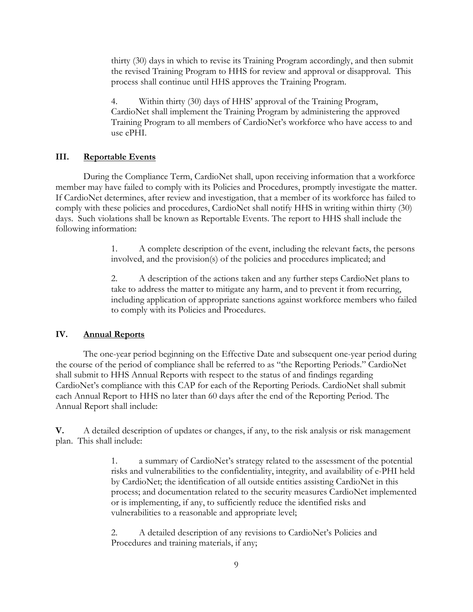process shall continue until HHS approves the Training Program. thirty (30) days in which to revise its Training Program accordingly, and then submit the revised Training Program to HHS for review and approval or disapproval. This

 CardioNet shall implement the Training Program by administering the approved use ePHI. 4. Within thirty (30) days of HHS' approval of the Training Program, Training Program to all members of CardioNet's workforce who have access to and

## **III. Reportable Events**

member may have failed to comply with its Policies and Procedures, promptly investigate the matter. following information: During the Compliance Term, CardioNet shall, upon receiving information that a workforce If CardioNet determines, after review and investigation, that a member of its workforce has failed to comply with these policies and procedures, CardioNet shall notify HHS in writing within thirty (30) days. Such violations shall be known as Reportable Events. The report to HHS shall include the

> involved, and the provision(s) of the policies and procedures implicated; and 1. A complete description of the event, including the relevant facts, the persons

> 2. A description of the actions taken and any further steps CardioNet plans to take to address the matter to mitigate any harm, and to prevent it from recurring, including application of appropriate sanctions against workforce members who failed to comply with its Policies and Procedures.

### **IV. Annual Reports**

The one-year period beginning on the Effective Date and subsequent one-year period during the course of the period of compliance shall be referred to as "the Reporting Periods." CardioNet shall submit to HHS Annual Reports with respect to the status of and findings regarding CardioNet's compliance with this CAP for each of the Reporting Periods. CardioNet shall submit each Annual Report to HHS no later than 60 days after the end of the Reporting Period. The Annual Report shall include:

**V.** A detailed description of updates or changes, if any, to the risk analysis or risk management plan. This shall include:

> 1. a summary of CardioNet's strategy related to the assessment of the potential risks and vulnerabilities to the confidentiality, integrity, and availability of e-PHI held by CardioNet; the identification of all outside entities assisting CardioNet in this process; and documentation related to the security measures CardioNet implemented or is implementing, if any, to sufficiently reduce the identified risks and vulnerabilities to a reasonable and appropriate level;

2. A detailed description of any revisions to CardioNet's Policies and Procedures and training materials, if any;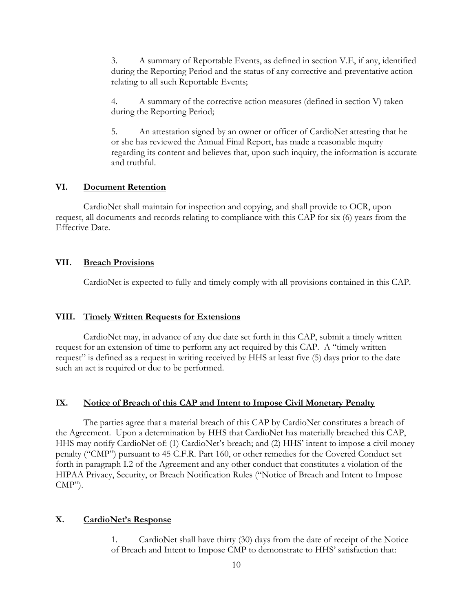3. A summary of Reportable Events, as defined in section V.E, if any, identified during the Reporting Period and the status of any corrective and preventative action relating to all such Reportable Events;

4. A summary of the corrective action measures (defined in section V) taken during the Reporting Period;

5. An attestation signed by an owner or officer of CardioNet attesting that he or she has reviewed the Annual Final Report, has made a reasonable inquiry regarding its content and believes that, upon such inquiry, the information is accurate and truthful.

## **VI. Document Retention**

 request, all documents and records relating to compliance with this CAP for six (6) years from the CardioNet shall maintain for inspection and copying, and shall provide to OCR, upon Effective Date.

#### **VII. Breach Provisions**

CardioNet is expected to fully and timely comply with all provisions contained in this CAP.

#### **VIII. Timely Written Requests for Extensions**

 such an act is required or due to be performed. CardioNet may, in advance of any due date set forth in this CAP, submit a timely written request for an extension of time to perform any act required by this CAP. A "timely written request" is defined as a request in writing received by HHS at least five (5) days prior to the date

#### **IX. Notice of Breach of this CAP and Intent to Impose Civil Monetary Penalty**

The parties agree that a material breach of this CAP by CardioNet constitutes a breach of the Agreement. Upon a determination by HHS that CardioNet has materially breached this CAP, HHS may notify CardioNet of: (1) CardioNet's breach; and (2) HHS' intent to impose a civil money penalty ("CMP") pursuant to 45 C.F.R. Part 160, or other remedies for the Covered Conduct set forth in paragraph I.2 of the Agreement and any other conduct that constitutes a violation of the HIPAA Privacy, Security, or Breach Notification Rules ("Notice of Breach and Intent to Impose  $\text{AMP'}$ ).

## **X. CardioNet's Response**

1. CardioNet shall have thirty (30) days from the date of receipt of the Notice of Breach and Intent to Impose CMP to demonstrate to HHS' satisfaction that: